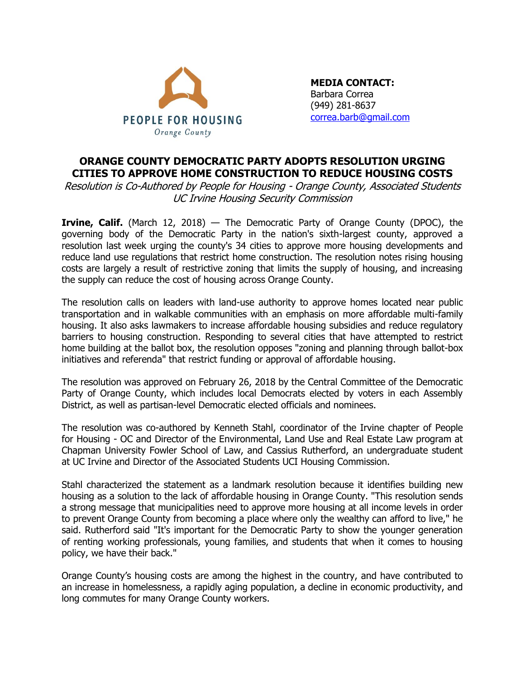

**MEDIA CONTACT:**  Barbara Correa (949) 281-8637 [correa.barb@gmail.com](mailto:barbara@policyplanningcenter.com)

## **ORANGE COUNTY DEMOCRATIC PARTY ADOPTS RESOLUTION URGING CITIES TO APPROVE HOME CONSTRUCTION TO REDUCE HOUSING COSTS**

Resolution is Co-Authored by People for Housing - Orange County, Associated Students UC Irvine Housing Security Commission

**Irvine, Calif.** (March 12, 2018) — The Democratic Party of Orange County (DPOC), the governing body of the Democratic Party in the nation's sixth-largest county, approved a resolution last week urging the county's 34 cities to approve more housing developments and reduce land use regulations that restrict home construction. The resolution notes rising housing costs are largely a result of restrictive zoning that limits the supply of housing, and increasing the supply can reduce the cost of housing across Orange County.

The resolution calls on leaders with land-use authority to approve homes located near public transportation and in walkable communities with an emphasis on more affordable multi-family housing. It also asks lawmakers to increase affordable housing subsidies and reduce regulatory barriers to housing construction. Responding to several cities that have attempted to restrict home building at the ballot box, the resolution opposes "zoning and planning through ballot-box initiatives and referenda" that restrict funding or approval of affordable housing.

The resolution was approved on February 26, 2018 by the Central Committee of the Democratic Party of Orange County, which includes local Democrats elected by voters in each Assembly District, as well as partisan-level Democratic elected officials and nominees.

The resolution was co-authored by Kenneth Stahl, coordinator of the Irvine chapter of People for Housing - OC and Director of the Environmental, Land Use and Real Estate Law program at Chapman University Fowler School of Law, and Cassius Rutherford, an undergraduate student at UC Irvine and Director of the Associated Students UCI Housing Commission.

Stahl characterized the statement as a landmark resolution because it identifies building new housing as a solution to the lack of affordable housing in Orange County. "This resolution sends a strong message that municipalities need to approve more housing at all income levels in order to prevent Orange County from becoming a place where only the wealthy can afford to live," he said. Rutherford said "It's important for the Democratic Party to show the younger generation of renting working professionals, young families, and students that when it comes to housing policy, we have their back."

Orange County's housing costs are among the highest in the country, and have contributed to an increase in homelessness, a rapidly aging population, a decline in economic productivity, and long commutes for many Orange County workers.